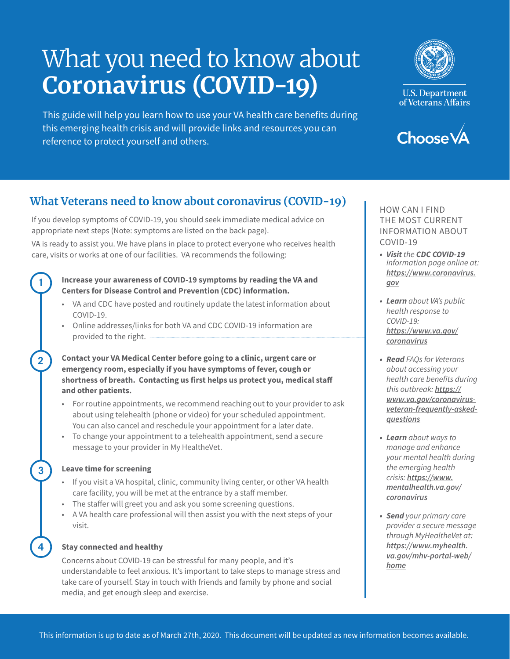# What you need to know about **Coronavirus (COVID-19)**

This guide will help you learn how to use your VA health care benefits during this emerging health crisis and will provide links and resources you can reference to protect yourself and others.



**U.S. Department** of Veterans Affairs



# **What Veterans need to know about coronavirus (COVID-19)**

If you develop symptoms of COVID-19, you should seek immediate medical advice on appropriate next steps (Note: symptoms are listed on the back page).

VA is ready to assist you. We have plans in place to protect everyone who receives health care, visits or works at one of our facilities. VA recommends the following:

# **Increase your awareness of COVID-19 symptoms by reading the VA and Centers for Disease Control and Prevention (CDC) information.**

- VA and CDC have posted and routinely update the latest information about COVID-19.
- Online addresses/links for both VA and CDC COVID-19 information are provided to the right.

# **Contact your VA Medical Center before going to a clinic, urgent care or emergency room, especially if you have symptoms of fever, cough or shortness of breath. Contacting us first helps us protect you, medical staff and other patients.**

- For routine appointments, we recommend reaching out to your provider to ask about using telehealth (phone or video) for your scheduled appointment. You can also cancel and reschedule your appointment for a later date.
- To change your appointment to a telehealth appointment, send a secure message to your provider in My HealtheVet.

# **Leave time for screening**

**1**

**2**

**3**

**4**

- If you visit a VA hospital, clinic, community living center, or other VA health care facility, you will be met at the entrance by a staff member.
- The staffer will greet you and ask you some screening questions.
- A VA health care professional will then assist you with the next steps of your visit.

# **Stay connected and healthy**

Concerns about COVID-19 can be stressful for many people, and it's understandable to feel anxious. It's important to take steps to manage stress and take care of yourself. Stay in touch with friends and family by phone and social media, and get enough sleep and exercise.

THE MOST CURRENT INFORMATION ABOUT COVID-19

- *• Visit the CDC COVID-19 information page online at: [https://www.coronavirus.](https://www.coronavirus.gov) [gov](https://www.coronavirus.gov)*
- *• Learn about VA's public health response to COVID-19: [https://www.va.gov/](https://www.va.gov/coronavirus) [coronavirus](https://www.va.gov/coronavirus)*
- *• Read FAQs for Veterans about accessing your*  health care benefits during *this outbreak: [https://](https://www.va.gov/coronavirus-veteran-frequently-asked-questions) [www.va.gov/coronavirus](https://www.va.gov/coronavirus-veteran-frequently-asked-questions)[veteran-frequently-asked](https://www.va.gov/coronavirus-veteran-frequently-asked-questions)[questions](https://www.va.gov/coronavirus-veteran-frequently-asked-questions)*
- *• Learn about ways to*  manage and enhance your mental health during *the emerging health crisis: [https://www.](https://www.mentalhealth.va.gov/coronavirus) [mentalhealth.va.gov/](https://www.mentalhealth.va.gov/coronavirus) [coronavirus](https://www.mentalhealth.va.gov/coronavirus)*
- *• Send your primary care*  provider a secure message *through MyHealtheVet at: [https://www.myhealth.](https://www.myhealth.va.gov/mhv-portal-web/home) [va.gov/mhv-portal-web/](https://www.myhealth.va.gov/mhv-portal-web/home) [home](https://www.myhealth.va.gov/mhv-portal-web/home)*